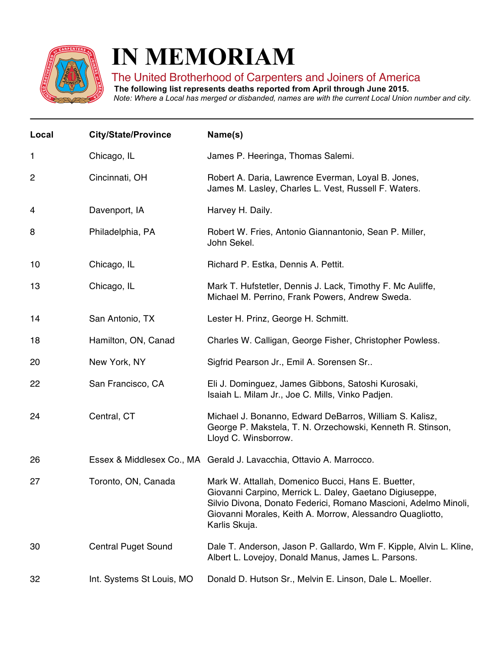

## **IN MEMORIAM**

## The United Brotherhood of Carpenters and Joiners of America

**The following list represents deaths reported from April through June 2015.**

Note: Where a Local has merged or disbanded, names are with the current Local Union number and city.

| Local | <b>City/State/Province</b> | Name(s)                                                                                                                                                                                                                                                       |
|-------|----------------------------|---------------------------------------------------------------------------------------------------------------------------------------------------------------------------------------------------------------------------------------------------------------|
| 1     | Chicago, IL                | James P. Heeringa, Thomas Salemi.                                                                                                                                                                                                                             |
| 2     | Cincinnati, OH             | Robert A. Daria, Lawrence Everman, Loyal B. Jones,<br>James M. Lasley, Charles L. Vest, Russell F. Waters.                                                                                                                                                    |
| 4     | Davenport, IA              | Harvey H. Daily.                                                                                                                                                                                                                                              |
| 8     | Philadelphia, PA           | Robert W. Fries, Antonio Giannantonio, Sean P. Miller,<br>John Sekel.                                                                                                                                                                                         |
| 10    | Chicago, IL                | Richard P. Estka, Dennis A. Pettit.                                                                                                                                                                                                                           |
| 13    | Chicago, IL                | Mark T. Hufstetler, Dennis J. Lack, Timothy F. Mc Auliffe,<br>Michael M. Perrino, Frank Powers, Andrew Sweda.                                                                                                                                                 |
| 14    | San Antonio, TX            | Lester H. Prinz, George H. Schmitt.                                                                                                                                                                                                                           |
| 18    | Hamilton, ON, Canad        | Charles W. Calligan, George Fisher, Christopher Powless.                                                                                                                                                                                                      |
| 20    | New York, NY               | Sigfrid Pearson Jr., Emil A. Sorensen Sr                                                                                                                                                                                                                      |
| 22    | San Francisco, CA          | Eli J. Dominguez, James Gibbons, Satoshi Kurosaki,<br>Isaiah L. Milam Jr., Joe C. Mills, Vinko Padjen.                                                                                                                                                        |
| 24    | Central, CT                | Michael J. Bonanno, Edward DeBarros, William S. Kalisz,<br>George P. Makstela, T. N. Orzechowski, Kenneth R. Stinson,<br>Lloyd C. Winsborrow.                                                                                                                 |
| 26    |                            | Essex & Middlesex Co., MA Gerald J. Lavacchia, Ottavio A. Marrocco.                                                                                                                                                                                           |
| 27    | Toronto, ON, Canada        | Mark W. Attallah, Domenico Bucci, Hans E. Buetter,<br>Giovanni Carpino, Merrick L. Daley, Gaetano Digiuseppe<br>Silvio Divona, Donato Federici, Romano Mascioni, Adelmo Minoli,<br>Giovanni Morales, Keith A. Morrow, Alessandro Quagliotto,<br>Karlis Skuja. |
| 30    | <b>Central Puget Sound</b> | Dale T. Anderson, Jason P. Gallardo, Wm F. Kipple, Alvin L. Kline,<br>Albert L. Lovejoy, Donald Manus, James L. Parsons.                                                                                                                                      |
| 32    | Int. Systems St Louis, MO  | Donald D. Hutson Sr., Melvin E. Linson, Dale L. Moeller.                                                                                                                                                                                                      |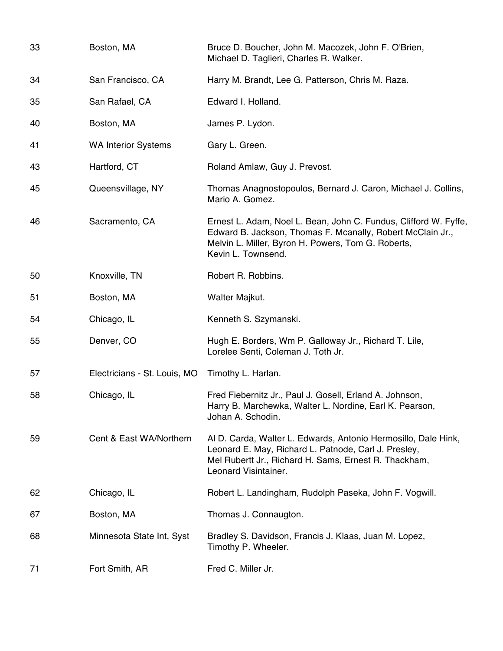| 33 | Boston, MA                   | Bruce D. Boucher, John M. Macozek, John F. O'Brien,<br>Michael D. Taglieri, Charles R. Walker.                                                                                                             |
|----|------------------------------|------------------------------------------------------------------------------------------------------------------------------------------------------------------------------------------------------------|
| 34 | San Francisco, CA            | Harry M. Brandt, Lee G. Patterson, Chris M. Raza.                                                                                                                                                          |
| 35 | San Rafael, CA               | Edward I. Holland.                                                                                                                                                                                         |
| 40 | Boston, MA                   | James P. Lydon.                                                                                                                                                                                            |
| 41 | <b>WA Interior Systems</b>   | Gary L. Green.                                                                                                                                                                                             |
| 43 | Hartford, CT                 | Roland Amlaw, Guy J. Prevost.                                                                                                                                                                              |
| 45 | Queensvillage, NY            | Thomas Anagnostopoulos, Bernard J. Caron, Michael J. Collins,<br>Mario A. Gomez.                                                                                                                           |
| 46 | Sacramento, CA               | Ernest L. Adam, Noel L. Bean, John C. Fundus, Clifford W. Fyffe,<br>Edward B. Jackson, Thomas F. Mcanally, Robert McClain Jr.,<br>Melvin L. Miller, Byron H. Powers, Tom G. Roberts,<br>Kevin L. Townsend. |
| 50 | Knoxville, TN                | Robert R. Robbins.                                                                                                                                                                                         |
| 51 | Boston, MA                   | Walter Majkut.                                                                                                                                                                                             |
| 54 | Chicago, IL                  | Kenneth S. Szymanski.                                                                                                                                                                                      |
| 55 | Denver, CO                   | Hugh E. Borders, Wm P. Galloway Jr., Richard T. Lile,<br>Lorelee Senti, Coleman J. Toth Jr.                                                                                                                |
| 57 | Electricians - St. Louis, MO | Timothy L. Harlan.                                                                                                                                                                                         |
| 58 | Chicago, IL                  | Fred Fiebernitz Jr., Paul J. Gosell, Erland A. Johnson,<br>Harry B. Marchewka, Walter L. Nordine, Earl K. Pearson,<br>Johan A. Schodin.                                                                    |
| 59 | Cent & East WA/Northern      | Al D. Carda, Walter L. Edwards, Antonio Hermosillo, Dale Hink,<br>Leonard E. May, Richard L. Patnode, Carl J. Presley,<br>Mel Rubertt Jr., Richard H. Sams, Ernest R. Thackham,<br>Leonard Visintainer.    |
| 62 | Chicago, IL                  | Robert L. Landingham, Rudolph Paseka, John F. Vogwill.                                                                                                                                                     |
| 67 | Boston, MA                   | Thomas J. Connaugton.                                                                                                                                                                                      |
| 68 | Minnesota State Int, Syst    | Bradley S. Davidson, Francis J. Klaas, Juan M. Lopez,<br>Timothy P. Wheeler.                                                                                                                               |
| 71 | Fort Smith, AR               | Fred C. Miller Jr.                                                                                                                                                                                         |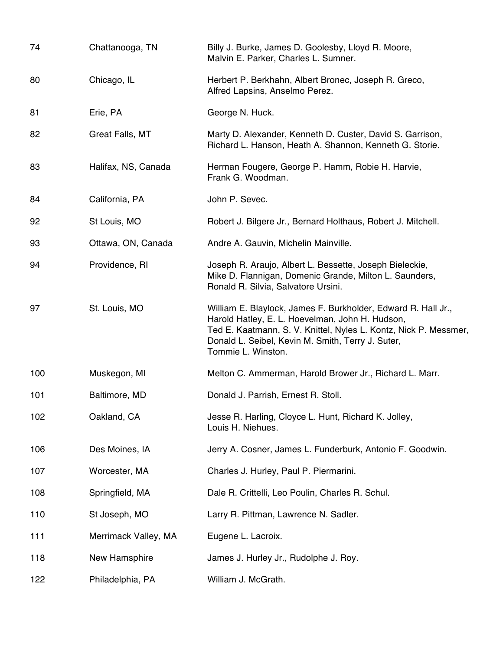| 74  | Chattanooga, TN      | Billy J. Burke, James D. Goolesby, Lloyd R. Moore,<br>Malvin E. Parker, Charles L. Sumner.                                                                                                                                                                      |
|-----|----------------------|-----------------------------------------------------------------------------------------------------------------------------------------------------------------------------------------------------------------------------------------------------------------|
| 80  | Chicago, IL          | Herbert P. Berkhahn, Albert Bronec, Joseph R. Greco,<br>Alfred Lapsins, Anselmo Perez.                                                                                                                                                                          |
| 81  | Erie, PA             | George N. Huck.                                                                                                                                                                                                                                                 |
| 82  | Great Falls, MT      | Marty D. Alexander, Kenneth D. Custer, David S. Garrison,<br>Richard L. Hanson, Heath A. Shannon, Kenneth G. Storie.                                                                                                                                            |
| 83  | Halifax, NS, Canada  | Herman Fougere, George P. Hamm, Robie H. Harvie,<br>Frank G. Woodman.                                                                                                                                                                                           |
| 84  | California, PA       | John P. Sevec.                                                                                                                                                                                                                                                  |
| 92  | St Louis, MO         | Robert J. Bilgere Jr., Bernard Holthaus, Robert J. Mitchell.                                                                                                                                                                                                    |
| 93  | Ottawa, ON, Canada   | Andre A. Gauvin, Michelin Mainville.                                                                                                                                                                                                                            |
| 94  | Providence, RI       | Joseph R. Araujo, Albert L. Bessette, Joseph Bieleckie,<br>Mike D. Flannigan, Domenic Grande, Milton L. Saunders,<br>Ronald R. Silvia, Salvatore Ursini.                                                                                                        |
| 97  | St. Louis, MO        | William E. Blaylock, James F. Burkholder, Edward R. Hall Jr.,<br>Harold Hatley, E. L. Hoevelman, John H. Hudson,<br>Ted E. Kaatmann, S. V. Knittel, Nyles L. Kontz, Nick P. Messmer,<br>Donald L. Seibel, Kevin M. Smith, Terry J. Suter,<br>Tommie L. Winston. |
| 100 | Muskegon, MI         | Melton C. Ammerman, Harold Brower Jr., Richard L. Marr.                                                                                                                                                                                                         |
| 101 | Baltimore, MD        | Donald J. Parrish, Ernest R. Stoll.                                                                                                                                                                                                                             |
| 102 | Oakland, CA          | Jesse R. Harling, Cloyce L. Hunt, Richard K. Jolley,<br>Louis H. Niehues.                                                                                                                                                                                       |
| 106 | Des Moines, IA       | Jerry A. Cosner, James L. Funderburk, Antonio F. Goodwin.                                                                                                                                                                                                       |
| 107 | Worcester, MA        | Charles J. Hurley, Paul P. Piermarini.                                                                                                                                                                                                                          |
| 108 | Springfield, MA      | Dale R. Crittelli, Leo Poulin, Charles R. Schul.                                                                                                                                                                                                                |
| 110 | St Joseph, MO        | Larry R. Pittman, Lawrence N. Sadler.                                                                                                                                                                                                                           |
| 111 | Merrimack Valley, MA | Eugene L. Lacroix.                                                                                                                                                                                                                                              |
| 118 | New Hamsphire        | James J. Hurley Jr., Rudolphe J. Roy.                                                                                                                                                                                                                           |
| 122 | Philadelphia, PA     | William J. McGrath.                                                                                                                                                                                                                                             |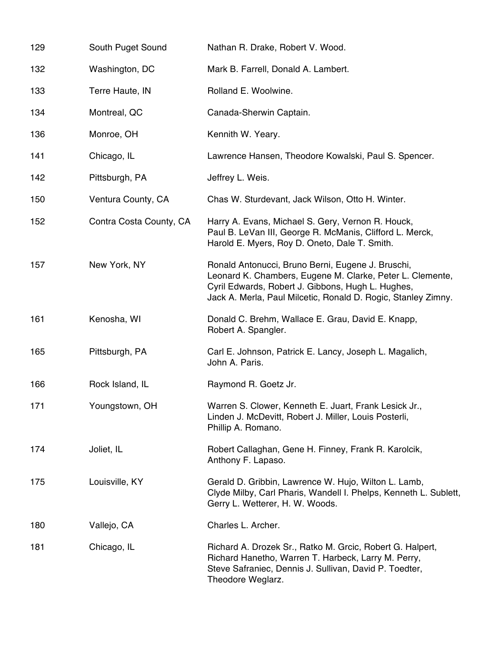| 129 | South Puget Sound       | Nathan R. Drake, Robert V. Wood.                                                                                                                                                                                                     |
|-----|-------------------------|--------------------------------------------------------------------------------------------------------------------------------------------------------------------------------------------------------------------------------------|
| 132 | Washington, DC          | Mark B. Farrell, Donald A. Lambert.                                                                                                                                                                                                  |
| 133 | Terre Haute, IN         | Rolland E. Woolwine.                                                                                                                                                                                                                 |
| 134 | Montreal, QC            | Canada-Sherwin Captain.                                                                                                                                                                                                              |
| 136 | Monroe, OH              | Kennith W. Yeary.                                                                                                                                                                                                                    |
| 141 | Chicago, IL             | Lawrence Hansen, Theodore Kowalski, Paul S. Spencer.                                                                                                                                                                                 |
| 142 | Pittsburgh, PA          | Jeffrey L. Weis.                                                                                                                                                                                                                     |
| 150 | Ventura County, CA      | Chas W. Sturdevant, Jack Wilson, Otto H. Winter.                                                                                                                                                                                     |
| 152 | Contra Costa County, CA | Harry A. Evans, Michael S. Gery, Vernon R. Houck,<br>Paul B. LeVan III, George R. McManis, Clifford L. Merck,<br>Harold E. Myers, Roy D. Oneto, Dale T. Smith.                                                                       |
| 157 | New York, NY            | Ronald Antonucci, Bruno Berni, Eugene J. Bruschi,<br>Leonard K. Chambers, Eugene M. Clarke, Peter L. Clemente,<br>Cyril Edwards, Robert J. Gibbons, Hugh L. Hughes,<br>Jack A. Merla, Paul Milcetic, Ronald D. Rogic, Stanley Zimny. |
| 161 | Kenosha, WI             | Donald C. Brehm, Wallace E. Grau, David E. Knapp,<br>Robert A. Spangler.                                                                                                                                                             |
| 165 | Pittsburgh, PA          | Carl E. Johnson, Patrick E. Lancy, Joseph L. Magalich,<br>John A. Paris.                                                                                                                                                             |
| 166 | Rock Island, IL         | Raymond R. Goetz Jr.                                                                                                                                                                                                                 |
| 171 | Youngstown, OH          | Warren S. Clower, Kenneth E. Juart, Frank Lesick Jr.,<br>Linden J. McDevitt, Robert J. Miller, Louis Posterli,<br>Phillip A. Romano.                                                                                                 |
| 174 | Joliet, IL              | Robert Callaghan, Gene H. Finney, Frank R. Karolcik,<br>Anthony F. Lapaso.                                                                                                                                                           |
| 175 | Louisville, KY          | Gerald D. Gribbin, Lawrence W. Hujo, Wilton L. Lamb,<br>Clyde Milby, Carl Pharis, Wandell I. Phelps, Kenneth L. Sublett,<br>Gerry L. Wetterer, H. W. Woods.                                                                          |
| 180 | Vallejo, CA             | Charles L. Archer.                                                                                                                                                                                                                   |
| 181 | Chicago, IL             | Richard A. Drozek Sr., Ratko M. Grcic, Robert G. Halpert,<br>Richard Hanetho, Warren T. Harbeck, Larry M. Perry,<br>Steve Safraniec, Dennis J. Sullivan, David P. Toedter,<br>Theodore Weglarz.                                      |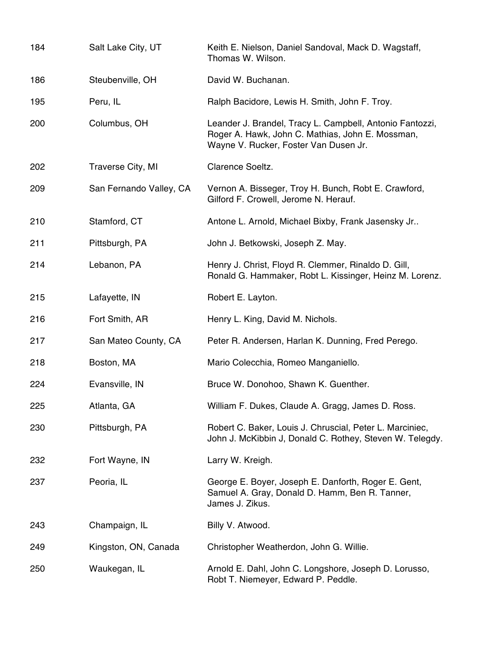| 184 | Salt Lake City, UT      | Keith E. Nielson, Daniel Sandoval, Mack D. Wagstaff,<br>Thomas W. Wilson.                                                                             |
|-----|-------------------------|-------------------------------------------------------------------------------------------------------------------------------------------------------|
| 186 | Steubenville, OH        | David W. Buchanan.                                                                                                                                    |
| 195 | Peru, IL                | Ralph Bacidore, Lewis H. Smith, John F. Troy.                                                                                                         |
| 200 | Columbus, OH            | Leander J. Brandel, Tracy L. Campbell, Antonio Fantozzi,<br>Roger A. Hawk, John C. Mathias, John E. Mossman,<br>Wayne V. Rucker, Foster Van Dusen Jr. |
| 202 | Traverse City, MI       | Clarence Soeltz.                                                                                                                                      |
| 209 | San Fernando Valley, CA | Vernon A. Bisseger, Troy H. Bunch, Robt E. Crawford,<br>Gilford F. Crowell, Jerome N. Herauf.                                                         |
| 210 | Stamford, CT            | Antone L. Arnold, Michael Bixby, Frank Jasensky Jr                                                                                                    |
| 211 | Pittsburgh, PA          | John J. Betkowski, Joseph Z. May.                                                                                                                     |
| 214 | Lebanon, PA             | Henry J. Christ, Floyd R. Clemmer, Rinaldo D. Gill,<br>Ronald G. Hammaker, Robt L. Kissinger, Heinz M. Lorenz.                                        |
| 215 | Lafayette, IN           | Robert E. Layton.                                                                                                                                     |
| 216 | Fort Smith, AR          | Henry L. King, David M. Nichols.                                                                                                                      |
| 217 | San Mateo County, CA    | Peter R. Andersen, Harlan K. Dunning, Fred Perego.                                                                                                    |
| 218 | Boston, MA              | Mario Colecchia, Romeo Manganiello.                                                                                                                   |
| 224 | Evansville, IN          | Bruce W. Donohoo, Shawn K. Guenther.                                                                                                                  |
| 225 | Atlanta, GA             | William F. Dukes, Claude A. Gragg, James D. Ross.                                                                                                     |
| 230 | Pittsburgh, PA          | Robert C. Baker, Louis J. Chruscial, Peter L. Marciniec,<br>John J. McKibbin J, Donald C. Rothey, Steven W. Telegdy.                                  |
| 232 | Fort Wayne, IN          | Larry W. Kreigh.                                                                                                                                      |
| 237 | Peoria, IL              | George E. Boyer, Joseph E. Danforth, Roger E. Gent,<br>Samuel A. Gray, Donald D. Hamm, Ben R. Tanner,<br>James J. Zikus.                              |
| 243 | Champaign, IL           | Billy V. Atwood.                                                                                                                                      |
| 249 | Kingston, ON, Canada    | Christopher Weatherdon, John G. Willie.                                                                                                               |
| 250 | Waukegan, IL            | Arnold E. Dahl, John C. Longshore, Joseph D. Lorusso,<br>Robt T. Niemeyer, Edward P. Peddle.                                                          |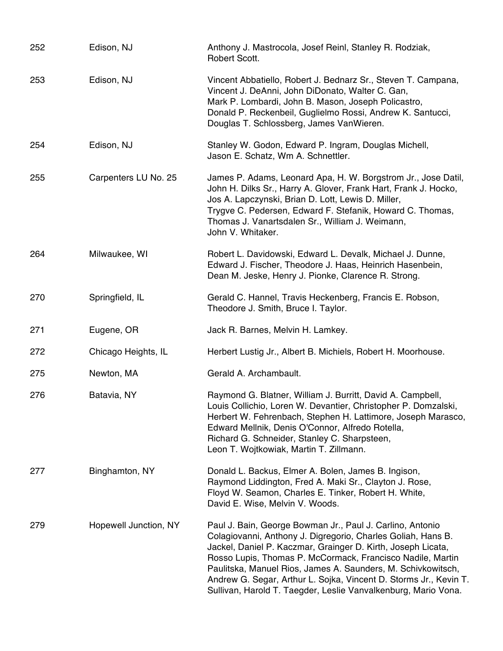| 252 | Edison, NJ            | Anthony J. Mastrocola, Josef Reinl, Stanley R. Rodziak,<br>Robert Scott.                                                                                                                                                                                                                                                                                                                                                                                       |
|-----|-----------------------|----------------------------------------------------------------------------------------------------------------------------------------------------------------------------------------------------------------------------------------------------------------------------------------------------------------------------------------------------------------------------------------------------------------------------------------------------------------|
| 253 | Edison, NJ            | Vincent Abbatiello, Robert J. Bednarz Sr., Steven T. Campana,<br>Vincent J. DeAnni, John DiDonato, Walter C. Gan,<br>Mark P. Lombardi, John B. Mason, Joseph Policastro,<br>Donald P. Reckenbeil, Guglielmo Rossi, Andrew K. Santucci,<br>Douglas T. Schlossberg, James VanWieren.                                                                                                                                                                             |
| 254 | Edison, NJ            | Stanley W. Godon, Edward P. Ingram, Douglas Michell,<br>Jason E. Schatz, Wm A. Schnettler.                                                                                                                                                                                                                                                                                                                                                                     |
| 255 | Carpenters LU No. 25  | James P. Adams, Leonard Apa, H. W. Borgstrom Jr., Jose Datil,<br>John H. Dilks Sr., Harry A. Glover, Frank Hart, Frank J. Hocko,<br>Jos A. Lapczynski, Brian D. Lott, Lewis D. Miller,<br>Trygve C. Pedersen, Edward F. Stefanik, Howard C. Thomas,<br>Thomas J. Vanartsdalen Sr., William J. Weimann,<br>John V. Whitaker.                                                                                                                                    |
| 264 | Milwaukee, WI         | Robert L. Davidowski, Edward L. Devalk, Michael J. Dunne,<br>Edward J. Fischer, Theodore J. Haas, Heinrich Hasenbein,<br>Dean M. Jeske, Henry J. Pionke, Clarence R. Strong.                                                                                                                                                                                                                                                                                   |
| 270 | Springfield, IL       | Gerald C. Hannel, Travis Heckenberg, Francis E. Robson,<br>Theodore J. Smith, Bruce I. Taylor.                                                                                                                                                                                                                                                                                                                                                                 |
| 271 | Eugene, OR            | Jack R. Barnes, Melvin H. Lamkey.                                                                                                                                                                                                                                                                                                                                                                                                                              |
| 272 | Chicago Heights, IL   | Herbert Lustig Jr., Albert B. Michiels, Robert H. Moorhouse.                                                                                                                                                                                                                                                                                                                                                                                                   |
| 275 | Newton, MA            | Gerald A. Archambault.                                                                                                                                                                                                                                                                                                                                                                                                                                         |
| 276 | Batavia, NY           | Raymond G. Blatner, William J. Burritt, David A. Campbell,<br>Louis Collichio, Loren W. Devantier, Christopher P. Domzalski,<br>Herbert W. Fehrenbach, Stephen H. Lattimore, Joseph Marasco,<br>Edward Mellnik, Denis O'Connor, Alfredo Rotella,<br>Richard G. Schneider, Stanley C. Sharpsteen,<br>Leon T. Wojtkowiak, Martin T. Zillmann.                                                                                                                    |
| 277 | Binghamton, NY        | Donald L. Backus, Elmer A. Bolen, James B. Ingison,<br>Raymond Liddington, Fred A. Maki Sr., Clayton J. Rose,<br>Floyd W. Seamon, Charles E. Tinker, Robert H. White,<br>David E. Wise, Melvin V. Woods.                                                                                                                                                                                                                                                       |
| 279 | Hopewell Junction, NY | Paul J. Bain, George Bowman Jr., Paul J. Carlino, Antonio<br>Colagiovanni, Anthony J. Digregorio, Charles Goliah, Hans B.<br>Jackel, Daniel P. Kaczmar, Grainger D. Kirth, Joseph Licata,<br>Rosso Lupis, Thomas P. McCormack, Francisco Nadile, Martin<br>Paulitska, Manuel Rios, James A. Saunders, M. Schivkowitsch,<br>Andrew G. Segar, Arthur L. Sojka, Vincent D. Storms Jr., Kevin T.<br>Sullivan, Harold T. Taegder, Leslie Vanvalkenburg, Mario Vona. |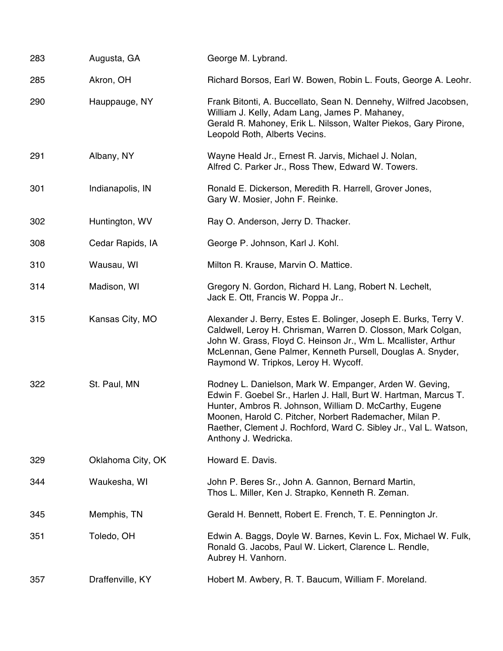| 283 | Augusta, GA       | George M. Lybrand.                                                                                                                                                                                                                                                                                                                          |
|-----|-------------------|---------------------------------------------------------------------------------------------------------------------------------------------------------------------------------------------------------------------------------------------------------------------------------------------------------------------------------------------|
| 285 | Akron, OH         | Richard Borsos, Earl W. Bowen, Robin L. Fouts, George A. Leohr.                                                                                                                                                                                                                                                                             |
| 290 | Hauppauge, NY     | Frank Bitonti, A. Buccellato, Sean N. Dennehy, Wilfred Jacobsen,<br>William J. Kelly, Adam Lang, James P. Mahaney,<br>Gerald R. Mahoney, Erik L. Nilsson, Walter Piekos, Gary Pirone,<br>Leopold Roth, Alberts Vecins.                                                                                                                      |
| 291 | Albany, NY        | Wayne Heald Jr., Ernest R. Jarvis, Michael J. Nolan,<br>Alfred C. Parker Jr., Ross Thew, Edward W. Towers.                                                                                                                                                                                                                                  |
| 301 | Indianapolis, IN  | Ronald E. Dickerson, Meredith R. Harrell, Grover Jones,<br>Gary W. Mosier, John F. Reinke.                                                                                                                                                                                                                                                  |
| 302 | Huntington, WV    | Ray O. Anderson, Jerry D. Thacker.                                                                                                                                                                                                                                                                                                          |
| 308 | Cedar Rapids, IA  | George P. Johnson, Karl J. Kohl.                                                                                                                                                                                                                                                                                                            |
| 310 | Wausau, WI        | Milton R. Krause, Marvin O. Mattice.                                                                                                                                                                                                                                                                                                        |
| 314 | Madison, WI       | Gregory N. Gordon, Richard H. Lang, Robert N. Lechelt,<br>Jack E. Ott, Francis W. Poppa Jr                                                                                                                                                                                                                                                  |
| 315 | Kansas City, MO   | Alexander J. Berry, Estes E. Bolinger, Joseph E. Burks, Terry V.<br>Caldwell, Leroy H. Chrisman, Warren D. Closson, Mark Colgan,<br>John W. Grass, Floyd C. Heinson Jr., Wm L. Mcallister, Arthur<br>McLennan, Gene Palmer, Kenneth Pursell, Douglas A. Snyder,<br>Raymond W. Tripkos, Leroy H. Wycoff.                                     |
| 322 | St. Paul, MN      | Rodney L. Danielson, Mark W. Empanger, Arden W. Geving,<br>Edwin F. Goebel Sr., Harlen J. Hall, Burt W. Hartman, Marcus T.<br>Hunter, Ambros R. Johnson, William D. McCarthy, Eugene<br>Moonen, Harold C. Pitcher, Norbert Rademacher, Milan P.<br>Raether, Clement J. Rochford, Ward C. Sibley Jr., Val L. Watson,<br>Anthony J. Wedricka. |
| 329 | Oklahoma City, OK | Howard E. Davis.                                                                                                                                                                                                                                                                                                                            |
| 344 | Waukesha, WI      | John P. Beres Sr., John A. Gannon, Bernard Martin,<br>Thos L. Miller, Ken J. Strapko, Kenneth R. Zeman.                                                                                                                                                                                                                                     |
| 345 | Memphis, TN       | Gerald H. Bennett, Robert E. French, T. E. Pennington Jr.                                                                                                                                                                                                                                                                                   |
| 351 | Toledo, OH        | Edwin A. Baggs, Doyle W. Barnes, Kevin L. Fox, Michael W. Fulk,<br>Ronald G. Jacobs, Paul W. Lickert, Clarence L. Rendle,<br>Aubrey H. Vanhorn.                                                                                                                                                                                             |
| 357 | Draffenville, KY  | Hobert M. Awbery, R. T. Baucum, William F. Moreland.                                                                                                                                                                                                                                                                                        |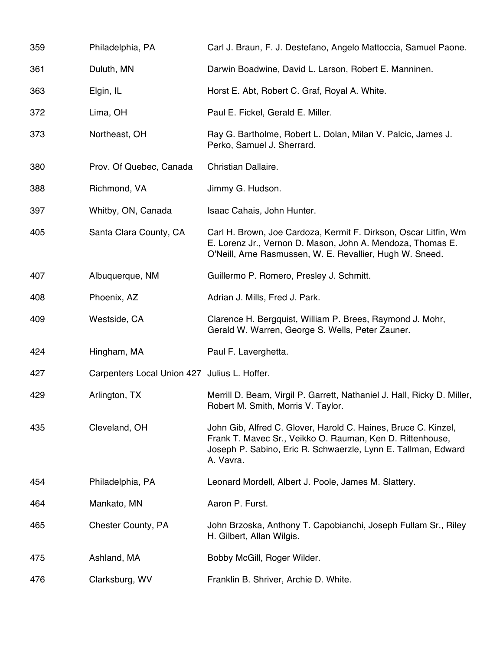| 359 | Philadelphia, PA                             | Carl J. Braun, F. J. Destefano, Angelo Mattoccia, Samuel Paone.                                                                                                                                           |
|-----|----------------------------------------------|-----------------------------------------------------------------------------------------------------------------------------------------------------------------------------------------------------------|
| 361 | Duluth, MN                                   | Darwin Boadwine, David L. Larson, Robert E. Manninen.                                                                                                                                                     |
| 363 | Elgin, IL                                    | Horst E. Abt, Robert C. Graf, Royal A. White.                                                                                                                                                             |
| 372 | Lima, OH                                     | Paul E. Fickel, Gerald E. Miller.                                                                                                                                                                         |
| 373 | Northeast, OH                                | Ray G. Bartholme, Robert L. Dolan, Milan V. Palcic, James J.<br>Perko, Samuel J. Sherrard.                                                                                                                |
| 380 | Prov. Of Quebec, Canada                      | Christian Dallaire.                                                                                                                                                                                       |
| 388 | Richmond, VA                                 | Jimmy G. Hudson.                                                                                                                                                                                          |
| 397 | Whitby, ON, Canada                           | Isaac Cahais, John Hunter.                                                                                                                                                                                |
| 405 | Santa Clara County, CA                       | Carl H. Brown, Joe Cardoza, Kermit F. Dirkson, Oscar Litfin, Wm<br>E. Lorenz Jr., Vernon D. Mason, John A. Mendoza, Thomas E.<br>O'Neill, Arne Rasmussen, W. E. Revallier, Hugh W. Sneed.                 |
| 407 | Albuquerque, NM                              | Guillermo P. Romero, Presley J. Schmitt.                                                                                                                                                                  |
| 408 | Phoenix, AZ                                  | Adrian J. Mills, Fred J. Park.                                                                                                                                                                            |
| 409 | Westside, CA                                 | Clarence H. Bergquist, William P. Brees, Raymond J. Mohr,<br>Gerald W. Warren, George S. Wells, Peter Zauner.                                                                                             |
| 424 | Hingham, MA                                  | Paul F. Laverghetta.                                                                                                                                                                                      |
| 427 | Carpenters Local Union 427 Julius L. Hoffer. |                                                                                                                                                                                                           |
| 429 | Arlington, TX                                | Merrill D. Beam, Virgil P. Garrett, Nathaniel J. Hall, Ricky D. Miller,<br>Robert M. Smith, Morris V. Taylor.                                                                                             |
| 435 | Cleveland, OH                                | John Gib, Alfred C. Glover, Harold C. Haines, Bruce C. Kinzel,<br>Frank T. Mavec Sr., Veikko O. Rauman, Ken D. Rittenhouse,<br>Joseph P. Sabino, Eric R. Schwaerzle, Lynn E. Tallman, Edward<br>A. Vavra. |
| 454 | Philadelphia, PA                             | Leonard Mordell, Albert J. Poole, James M. Slattery.                                                                                                                                                      |
| 464 | Mankato, MN                                  | Aaron P. Furst.                                                                                                                                                                                           |
| 465 | Chester County, PA                           | John Brzoska, Anthony T. Capobianchi, Joseph Fullam Sr., Riley<br>H. Gilbert, Allan Wilgis.                                                                                                               |
| 475 | Ashland, MA                                  | Bobby McGill, Roger Wilder.                                                                                                                                                                               |
| 476 | Clarksburg, WV                               | Franklin B. Shriver, Archie D. White.                                                                                                                                                                     |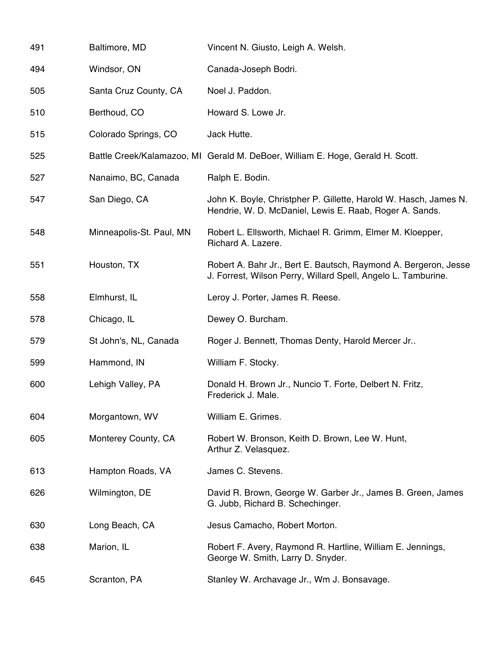| 491 | Baltimore, MD            | Vincent N. Giusto, Leigh A. Welsh.                                                                                               |
|-----|--------------------------|----------------------------------------------------------------------------------------------------------------------------------|
| 494 | Windsor, ON              | Canada-Joseph Bodri.                                                                                                             |
| 505 | Santa Cruz County, CA    | Noel J. Paddon.                                                                                                                  |
| 510 | Berthoud, CO             | Howard S. Lowe Jr.                                                                                                               |
| 515 | Colorado Springs, CO     | Jack Hutte.                                                                                                                      |
| 525 |                          | Battle Creek/Kalamazoo, MI Gerald M. DeBoer, William E. Hoge, Gerald H. Scott.                                                   |
| 527 | Nanaimo, BC, Canada      | Ralph E. Bodin.                                                                                                                  |
| 547 | San Diego, CA            | John K. Boyle, Christpher P. Gillette, Harold W. Hasch, James N.<br>Hendrie, W. D. McDaniel, Lewis E. Raab, Roger A. Sands.      |
| 548 | Minneapolis-St. Paul, MN | Robert L. Ellsworth, Michael R. Grimm, Elmer M. Kloepper,<br>Richard A. Lazere.                                                  |
| 551 | Houston, TX              | Robert A. Bahr Jr., Bert E. Bautsch, Raymond A. Bergeron, Jesse<br>J. Forrest, Wilson Perry, Willard Spell, Angelo L. Tamburine. |
| 558 | Elmhurst, IL             | Leroy J. Porter, James R. Reese.                                                                                                 |
| 578 | Chicago, IL              | Dewey O. Burcham.                                                                                                                |
| 579 | St John's, NL, Canada    | Roger J. Bennett, Thomas Denty, Harold Mercer Jr                                                                                 |
| 599 | Hammond, IN              | William F. Stocky.                                                                                                               |
| 600 | Lehigh Valley, PA        | Donald H. Brown Jr., Nuncio T. Forte, Delbert N. Fritz,<br>Frederick J. Male.                                                    |
| 604 | Morgantown, WV           | William E. Grimes.                                                                                                               |
| 605 | Monterey County, CA      | Robert W. Bronson, Keith D. Brown, Lee W. Hunt,<br>Arthur Z. Velasquez.                                                          |
| 613 | Hampton Roads, VA        | James C. Stevens.                                                                                                                |
| 626 | Wilmington, DE           | David R. Brown, George W. Garber Jr., James B. Green, James<br>G. Jubb, Richard B. Schechinger.                                  |
| 630 | Long Beach, CA           | Jesus Camacho, Robert Morton.                                                                                                    |
| 638 | Marion, IL               | Robert F. Avery, Raymond R. Hartline, William E. Jennings,<br>George W. Smith, Larry D. Snyder.                                  |
| 645 | Scranton, PA             | Stanley W. Archavage Jr., Wm J. Bonsavage.                                                                                       |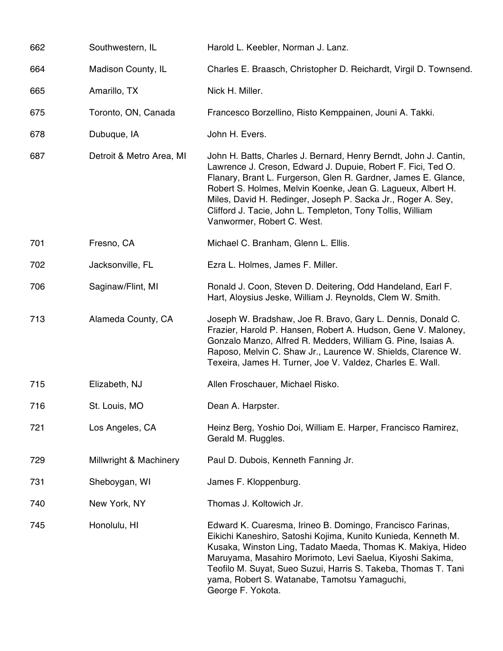| 662 | Southwestern, IL         | Harold L. Keebler, Norman J. Lanz.                                                                                                                                                                                                                                                                                                                                                                                            |
|-----|--------------------------|-------------------------------------------------------------------------------------------------------------------------------------------------------------------------------------------------------------------------------------------------------------------------------------------------------------------------------------------------------------------------------------------------------------------------------|
| 664 | Madison County, IL       | Charles E. Braasch, Christopher D. Reichardt, Virgil D. Townsend.                                                                                                                                                                                                                                                                                                                                                             |
| 665 | Amarillo, TX             | Nick H. Miller.                                                                                                                                                                                                                                                                                                                                                                                                               |
| 675 | Toronto, ON, Canada      | Francesco Borzellino, Risto Kemppainen, Jouni A. Takki.                                                                                                                                                                                                                                                                                                                                                                       |
| 678 | Dubuque, IA              | John H. Evers.                                                                                                                                                                                                                                                                                                                                                                                                                |
| 687 | Detroit & Metro Area, MI | John H. Batts, Charles J. Bernard, Henry Berndt, John J. Cantin,<br>Lawrence J. Creson, Edward J. Dupuie, Robert F. Fici, Ted O.<br>Flanary, Brant L. Furgerson, Glen R. Gardner, James E. Glance,<br>Robert S. Holmes, Melvin Koenke, Jean G. Lagueux, Albert H.<br>Miles, David H. Redinger, Joseph P. Sacka Jr., Roger A. Sey,<br>Clifford J. Tacie, John L. Templeton, Tony Tollis, William<br>Vanwormer, Robert C. West. |
| 701 | Fresno, CA               | Michael C. Branham, Glenn L. Ellis.                                                                                                                                                                                                                                                                                                                                                                                           |
| 702 | Jacksonville, FL         | Ezra L. Holmes, James F. Miller.                                                                                                                                                                                                                                                                                                                                                                                              |
| 706 | Saginaw/Flint, MI        | Ronald J. Coon, Steven D. Deitering, Odd Handeland, Earl F.<br>Hart, Aloysius Jeske, William J. Reynolds, Clem W. Smith.                                                                                                                                                                                                                                                                                                      |
| 713 | Alameda County, CA       | Joseph W. Bradshaw, Joe R. Bravo, Gary L. Dennis, Donald C.<br>Frazier, Harold P. Hansen, Robert A. Hudson, Gene V. Maloney,<br>Gonzalo Manzo, Alfred R. Medders, William G. Pine, Isaias A.<br>Raposo, Melvin C. Shaw Jr., Laurence W. Shields, Clarence W.<br>Texeira, James H. Turner, Joe V. Valdez, Charles E. Wall.                                                                                                     |
| 715 | Elizabeth, NJ            | Allen Froschauer, Michael Risko.                                                                                                                                                                                                                                                                                                                                                                                              |
| 716 | St. Louis, MO            | Dean A. Harpster.                                                                                                                                                                                                                                                                                                                                                                                                             |
| 721 | Los Angeles, CA          | Heinz Berg, Yoshio Doi, William E. Harper, Francisco Ramirez,<br>Gerald M. Ruggles.                                                                                                                                                                                                                                                                                                                                           |
| 729 | Millwright & Machinery   | Paul D. Dubois, Kenneth Fanning Jr.                                                                                                                                                                                                                                                                                                                                                                                           |
| 731 | Sheboygan, WI            | James F. Kloppenburg.                                                                                                                                                                                                                                                                                                                                                                                                         |
| 740 | New York, NY             | Thomas J. Koltowich Jr.                                                                                                                                                                                                                                                                                                                                                                                                       |
| 745 | Honolulu, HI             | Edward K. Cuaresma, Irineo B. Domingo, Francisco Farinas,<br>Eikichi Kaneshiro, Satoshi Kojima, Kunito Kunieda, Kenneth M.<br>Kusaka, Winston Ling, Tadato Maeda, Thomas K. Makiya, Hideo<br>Maruyama, Masahiro Morimoto, Levi Saelua, Kiyoshi Sakima,<br>Teofilo M. Suyat, Sueo Suzui, Harris S. Takeba, Thomas T. Tani<br>yama, Robert S. Watanabe, Tamotsu Yamaguchi,<br>George F. Yokota.                                 |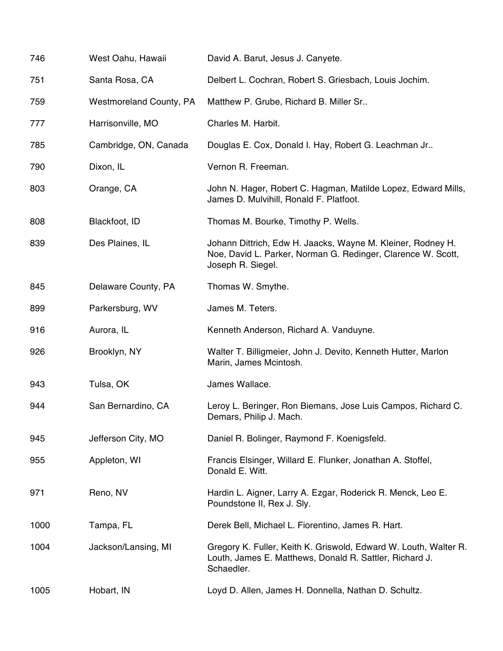| 746  | West Oahu, Hawaii              | David A. Barut, Jesus J. Canyete.                                                                                                                |
|------|--------------------------------|--------------------------------------------------------------------------------------------------------------------------------------------------|
| 751  | Santa Rosa, CA                 | Delbert L. Cochran, Robert S. Griesbach, Louis Jochim.                                                                                           |
| 759  | <b>Westmoreland County, PA</b> | Matthew P. Grube, Richard B. Miller Sr                                                                                                           |
| 777  | Harrisonville, MO              | Charles M. Harbit.                                                                                                                               |
| 785  | Cambridge, ON, Canada          | Douglas E. Cox, Donald I. Hay, Robert G. Leachman Jr                                                                                             |
| 790  | Dixon, IL                      | Vernon R. Freeman.                                                                                                                               |
| 803  | Orange, CA                     | John N. Hager, Robert C. Hagman, Matilde Lopez, Edward Mills,<br>James D. Mulvihill, Ronald F. Platfoot.                                         |
| 808  | Blackfoot, ID                  | Thomas M. Bourke, Timothy P. Wells.                                                                                                              |
| 839  | Des Plaines, IL                | Johann Dittrich, Edw H. Jaacks, Wayne M. Kleiner, Rodney H.<br>Noe, David L. Parker, Norman G. Redinger, Clarence W. Scott,<br>Joseph R. Siegel. |
| 845  | Delaware County, PA            | Thomas W. Smythe.                                                                                                                                |
| 899  | Parkersburg, WV                | James M. Teters.                                                                                                                                 |
| 916  | Aurora, IL                     | Kenneth Anderson, Richard A. Vanduyne.                                                                                                           |
| 926  | Brooklyn, NY                   | Walter T. Billigmeier, John J. Devito, Kenneth Hutter, Marlon<br>Marin, James Mcintosh.                                                          |
| 943  | Tulsa, OK                      | James Wallace.                                                                                                                                   |
| 944  | San Bernardino, CA             | Leroy L. Beringer, Ron Biemans, Jose Luis Campos, Richard C.<br>Demars, Philip J. Mach.                                                          |
| 945  | Jefferson City, MO             | Daniel R. Bolinger, Raymond F. Koenigsfeld.                                                                                                      |
| 955  | Appleton, WI                   | Francis Elsinger, Willard E. Flunker, Jonathan A. Stoffel,<br>Donald E. Witt.                                                                    |
| 971  | Reno, NV                       | Hardin L. Aigner, Larry A. Ezgar, Roderick R. Menck, Leo E.<br>Poundstone II, Rex J. Sly.                                                        |
| 1000 | Tampa, FL                      | Derek Bell, Michael L. Fiorentino, James R. Hart.                                                                                                |
| 1004 | Jackson/Lansing, MI            | Gregory K. Fuller, Keith K. Griswold, Edward W. Louth, Walter R.<br>Louth, James E. Matthews, Donald R. Sattler, Richard J.<br>Schaedler.        |
| 1005 | Hobart, IN                     | Loyd D. Allen, James H. Donnella, Nathan D. Schultz.                                                                                             |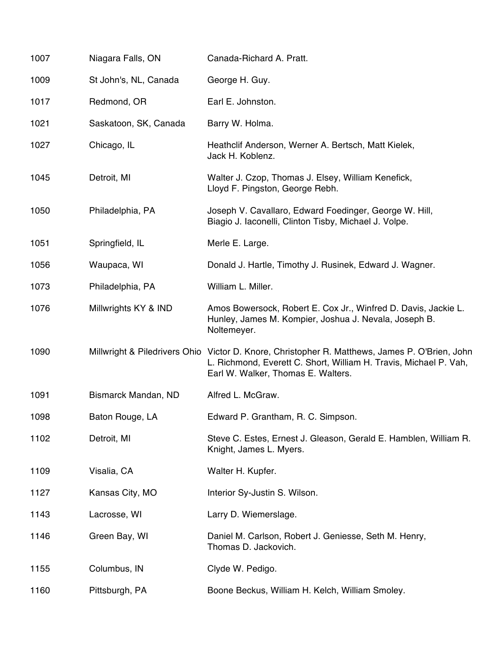| 1007 | Niagara Falls, ON     | Canada-Richard A. Pratt.                                                                                                                                                                                  |
|------|-----------------------|-----------------------------------------------------------------------------------------------------------------------------------------------------------------------------------------------------------|
| 1009 | St John's, NL, Canada | George H. Guy.                                                                                                                                                                                            |
| 1017 | Redmond, OR           | Earl E. Johnston.                                                                                                                                                                                         |
| 1021 | Saskatoon, SK, Canada | Barry W. Holma.                                                                                                                                                                                           |
| 1027 | Chicago, IL           | Heathclif Anderson, Werner A. Bertsch, Matt Kielek,<br>Jack H. Koblenz.                                                                                                                                   |
| 1045 | Detroit, MI           | Walter J. Czop, Thomas J. Elsey, William Kenefick,<br>Lloyd F. Pingston, George Rebh.                                                                                                                     |
| 1050 | Philadelphia, PA      | Joseph V. Cavallaro, Edward Foedinger, George W. Hill,<br>Biagio J. Iaconelli, Clinton Tisby, Michael J. Volpe.                                                                                           |
| 1051 | Springfield, IL       | Merle E. Large.                                                                                                                                                                                           |
| 1056 | Waupaca, WI           | Donald J. Hartle, Timothy J. Rusinek, Edward J. Wagner.                                                                                                                                                   |
| 1073 | Philadelphia, PA      | William L. Miller.                                                                                                                                                                                        |
| 1076 | Millwrights KY & IND  | Amos Bowersock, Robert E. Cox Jr., Winfred D. Davis, Jackie L.<br>Hunley, James M. Kompier, Joshua J. Nevala, Joseph B.<br>Noltemeyer.                                                                    |
| 1090 |                       | Millwright & Piledrivers Ohio Victor D. Knore, Christopher R. Matthews, James P. O'Brien, John<br>L. Richmond, Everett C. Short, William H. Travis, Michael P. Vah,<br>Earl W. Walker, Thomas E. Walters. |
| 1091 | Bismarck Mandan, ND   | Alfred L. McGraw.                                                                                                                                                                                         |
| 1098 | Baton Rouge, LA       | Edward P. Grantham, R. C. Simpson.                                                                                                                                                                        |
| 1102 | Detroit, MI           | Steve C. Estes, Ernest J. Gleason, Gerald E. Hamblen, William R.<br>Knight, James L. Myers.                                                                                                               |
| 1109 | Visalia, CA           | Walter H. Kupfer.                                                                                                                                                                                         |
| 1127 | Kansas City, MO       | Interior Sy-Justin S. Wilson.                                                                                                                                                                             |
| 1143 | Lacrosse, WI          | Larry D. Wiemerslage.                                                                                                                                                                                     |
| 1146 | Green Bay, WI         | Daniel M. Carlson, Robert J. Geniesse, Seth M. Henry,<br>Thomas D. Jackovich.                                                                                                                             |
| 1155 | Columbus, IN          | Clyde W. Pedigo.                                                                                                                                                                                          |
| 1160 | Pittsburgh, PA        | Boone Beckus, William H. Kelch, William Smoley.                                                                                                                                                           |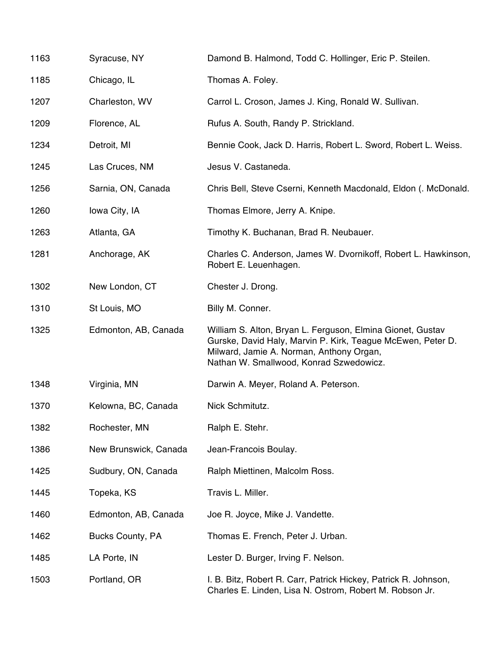| 1163 | Syracuse, NY            | Damond B. Halmond, Todd C. Hollinger, Eric P. Steilen.                                                                                                                                                           |
|------|-------------------------|------------------------------------------------------------------------------------------------------------------------------------------------------------------------------------------------------------------|
| 1185 | Chicago, IL             | Thomas A. Foley.                                                                                                                                                                                                 |
| 1207 | Charleston, WV          | Carrol L. Croson, James J. King, Ronald W. Sullivan.                                                                                                                                                             |
| 1209 | Florence, AL            | Rufus A. South, Randy P. Strickland.                                                                                                                                                                             |
| 1234 | Detroit, MI             | Bennie Cook, Jack D. Harris, Robert L. Sword, Robert L. Weiss.                                                                                                                                                   |
| 1245 | Las Cruces, NM          | Jesus V. Castaneda.                                                                                                                                                                                              |
| 1256 | Sarnia, ON, Canada      | Chris Bell, Steve Cserni, Kenneth Macdonald, Eldon (. McDonald.                                                                                                                                                  |
| 1260 | Iowa City, IA           | Thomas Elmore, Jerry A. Knipe.                                                                                                                                                                                   |
| 1263 | Atlanta, GA             | Timothy K. Buchanan, Brad R. Neubauer.                                                                                                                                                                           |
| 1281 | Anchorage, AK           | Charles C. Anderson, James W. Dvornikoff, Robert L. Hawkinson,<br>Robert E. Leuenhagen.                                                                                                                          |
| 1302 | New London, CT          | Chester J. Drong.                                                                                                                                                                                                |
| 1310 | St Louis, MO            | Billy M. Conner.                                                                                                                                                                                                 |
| 1325 | Edmonton, AB, Canada    | William S. Alton, Bryan L. Ferguson, Elmina Gionet, Gustav<br>Gurske, David Haly, Marvin P. Kirk, Teague McEwen, Peter D.<br>Milward, Jamie A. Norman, Anthony Organ,<br>Nathan W. Smallwood, Konrad Szwedowicz. |
| 1348 | Virginia, MN            | Darwin A. Meyer, Roland A. Peterson.                                                                                                                                                                             |
| 1370 | Kelowna, BC, Canada     | Nick Schmitutz.                                                                                                                                                                                                  |
| 1382 | Rochester, MN           | Ralph E. Stehr.                                                                                                                                                                                                  |
| 1386 | New Brunswick, Canada   | Jean-Francois Boulay.                                                                                                                                                                                            |
| 1425 | Sudbury, ON, Canada     | Ralph Miettinen, Malcolm Ross.                                                                                                                                                                                   |
| 1445 | Topeka, KS              | Travis L. Miller.                                                                                                                                                                                                |
| 1460 | Edmonton, AB, Canada    | Joe R. Joyce, Mike J. Vandette.                                                                                                                                                                                  |
| 1462 | <b>Bucks County, PA</b> | Thomas E. French, Peter J. Urban.                                                                                                                                                                                |
| 1485 | LA Porte, IN            | Lester D. Burger, Irving F. Nelson.                                                                                                                                                                              |
| 1503 | Portland, OR            | I. B. Bitz, Robert R. Carr, Patrick Hickey, Patrick R. Johnson,<br>Charles E. Linden, Lisa N. Ostrom, Robert M. Robson Jr.                                                                                       |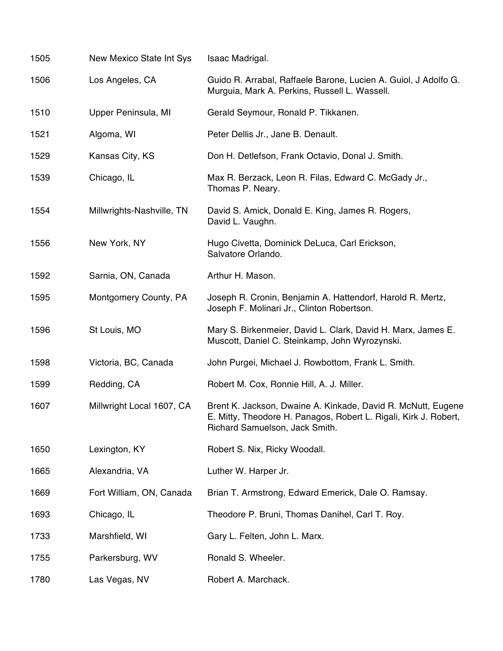| 1505 | New Mexico State Int Sys  | Isaac Madrigal.                                                                                                                                                    |
|------|---------------------------|--------------------------------------------------------------------------------------------------------------------------------------------------------------------|
| 1506 | Los Angeles, CA           | Guido R. Arrabal, Raffaele Barone, Lucien A. Guiol, J Adolfo G.<br>Murguia, Mark A. Perkins, Russell L. Wassell.                                                   |
| 1510 | Upper Peninsula, MI       | Gerald Seymour, Ronald P. Tikkanen.                                                                                                                                |
| 1521 | Algoma, WI                | Peter Dellis Jr., Jane B. Denault.                                                                                                                                 |
| 1529 | Kansas City, KS           | Don H. Detlefson, Frank Octavio, Donal J. Smith.                                                                                                                   |
| 1539 | Chicago, IL               | Max R. Berzack, Leon R. Filas, Edward C. McGady Jr.,<br>Thomas P. Neary.                                                                                           |
| 1554 | Millwrights-Nashville, TN | David S. Amick, Donald E. King, James R. Rogers,<br>David L. Vaughn.                                                                                               |
| 1556 | New York, NY              | Hugo Civetta, Dominick DeLuca, Carl Erickson,<br>Salvatore Orlando.                                                                                                |
| 1592 | Sarnia, ON, Canada        | Arthur H. Mason.                                                                                                                                                   |
| 1595 | Montgomery County, PA     | Joseph R. Cronin, Benjamin A. Hattendorf, Harold R. Mertz,<br>Joseph F. Molinari Jr., Clinton Robertson.                                                           |
| 1596 | St Louis, MO              | Mary S. Birkenmeier, David L. Clark, David H. Marx, James E.<br>Muscott, Daniel C. Steinkamp, John Wyrozynski.                                                     |
| 1598 | Victoria, BC, Canada      | John Purgei, Michael J. Rowbottom, Frank L. Smith.                                                                                                                 |
| 1599 | Redding, CA               | Robert M. Cox, Ronnie Hill, A. J. Miller.                                                                                                                          |
| 1607 | Millwright Local 1607, CA | Brent K. Jackson, Dwaine A. Kinkade, David R. McNutt, Eugene<br>E. Mitty, Theodore H. Panagos, Robert L. Rigali, Kirk J. Robert,<br>Richard Samuelson, Jack Smith. |
| 1650 | Lexington, KY             | Robert S. Nix, Ricky Woodall.                                                                                                                                      |
| 1665 | Alexandria, VA            | Luther W. Harper Jr.                                                                                                                                               |
| 1669 | Fort William, ON, Canada  | Brian T. Armstrong, Edward Emerick, Dale O. Ramsay.                                                                                                                |
| 1693 | Chicago, IL               | Theodore P. Bruni, Thomas Danihel, Carl T. Roy.                                                                                                                    |
| 1733 | Marshfield, WI            | Gary L. Felten, John L. Marx.                                                                                                                                      |
| 1755 | Parkersburg, WV           | Ronald S. Wheeler.                                                                                                                                                 |
| 1780 | Las Vegas, NV             | Robert A. Marchack.                                                                                                                                                |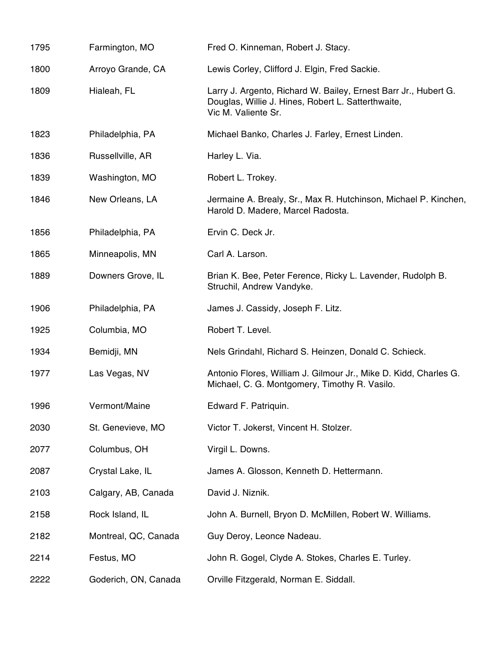| 1795 | Farmington, MO       | Fred O. Kinneman, Robert J. Stacy.                                                                                                           |
|------|----------------------|----------------------------------------------------------------------------------------------------------------------------------------------|
| 1800 | Arroyo Grande, CA    | Lewis Corley, Clifford J. Elgin, Fred Sackie.                                                                                                |
| 1809 | Hialeah, FL          | Larry J. Argento, Richard W. Bailey, Ernest Barr Jr., Hubert G.<br>Douglas, Willie J. Hines, Robert L. Satterthwaite,<br>Vic M. Valiente Sr. |
| 1823 | Philadelphia, PA     | Michael Banko, Charles J. Farley, Ernest Linden.                                                                                             |
| 1836 | Russellville, AR     | Harley L. Via.                                                                                                                               |
| 1839 | Washington, MO       | Robert L. Trokey.                                                                                                                            |
| 1846 | New Orleans, LA      | Jermaine A. Brealy, Sr., Max R. Hutchinson, Michael P. Kinchen,<br>Harold D. Madere, Marcel Radosta.                                         |
| 1856 | Philadelphia, PA     | Ervin C. Deck Jr.                                                                                                                            |
| 1865 | Minneapolis, MN      | Carl A. Larson.                                                                                                                              |
| 1889 | Downers Grove, IL    | Brian K. Bee, Peter Ference, Ricky L. Lavender, Rudolph B.<br>Struchil, Andrew Vandyke.                                                      |
| 1906 | Philadelphia, PA     | James J. Cassidy, Joseph F. Litz.                                                                                                            |
| 1925 | Columbia, MO         | Robert T. Level.                                                                                                                             |
| 1934 | Bemidji, MN          | Nels Grindahl, Richard S. Heinzen, Donald C. Schieck.                                                                                        |
| 1977 | Las Vegas, NV        | Antonio Flores, William J. Gilmour Jr., Mike D. Kidd, Charles G.<br>Michael, C. G. Montgomery, Timothy R. Vasilo.                            |
| 1996 | Vermont/Maine        | Edward F. Patriquin.                                                                                                                         |
| 2030 | St. Genevieve, MO    | Victor T. Jokerst, Vincent H. Stolzer.                                                                                                       |
| 2077 | Columbus, OH         | Virgil L. Downs.                                                                                                                             |
| 2087 | Crystal Lake, IL     | James A. Glosson, Kenneth D. Hettermann.                                                                                                     |
| 2103 | Calgary, AB, Canada  | David J. Niznik.                                                                                                                             |
| 2158 | Rock Island, IL      | John A. Burnell, Bryon D. McMillen, Robert W. Williams.                                                                                      |
| 2182 | Montreal, QC, Canada | Guy Deroy, Leonce Nadeau.                                                                                                                    |
| 2214 | Festus, MO           | John R. Gogel, Clyde A. Stokes, Charles E. Turley.                                                                                           |
| 2222 | Goderich, ON, Canada | Orville Fitzgerald, Norman E. Siddall.                                                                                                       |